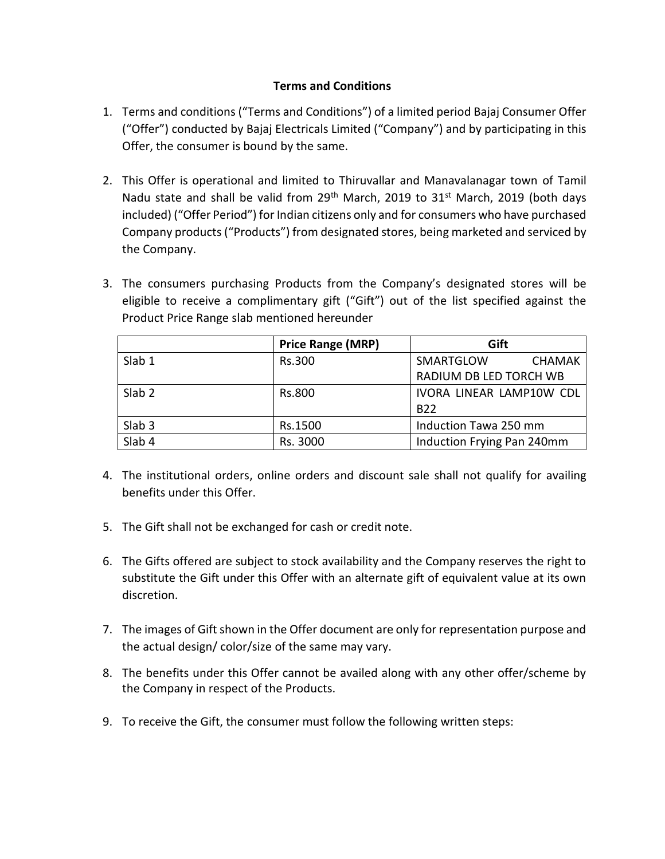## **Terms and Conditions**

- 1. Terms and conditions ("Terms and Conditions") of a limited period Bajaj Consumer Offer ("Offer") conducted by Bajaj Electricals Limited ("Company") and by participating in this Offer, the consumer is bound by the same.
- 2. This Offer is operational and limited to Thiruvallar and Manavalanagar town of Tamil Nadu state and shall be valid from  $29<sup>th</sup>$  March, 2019 to 31<sup>st</sup> March, 2019 (both days included) ("Offer Period") for Indian citizens only and for consumers who have purchased Company products ("Products") from designated stores, being marketed and serviced by the Company.
- 3. The consumers purchasing Products from the Company's designated stores will be eligible to receive a complimentary gift ("Gift") out of the list specified against the Product Price Range slab mentioned hereunder

|                   | <b>Price Range (MRP)</b> | Gift                       |
|-------------------|--------------------------|----------------------------|
| Slab 1            | Rs.300                   | SMARTGLOW<br><b>CHAMAK</b> |
|                   |                          | RADIUM DB LED TORCH WB     |
| Slab <sub>2</sub> | <b>Rs.800</b>            | IVORA LINEAR LAMP10W CDL   |
|                   |                          | <b>B22</b>                 |
| Slab <sub>3</sub> | Rs.1500                  | Induction Tawa 250 mm      |
| Slab 4            | Rs. 3000                 | Induction Frying Pan 240mm |

- 4. The institutional orders, online orders and discount sale shall not qualify for availing benefits under this Offer.
- 5. The Gift shall not be exchanged for cash or credit note.
- 6. The Gifts offered are subject to stock availability and the Company reserves the right to substitute the Gift under this Offer with an alternate gift of equivalent value at its own discretion.
- 7. The images of Gift shown in the Offer document are only for representation purpose and the actual design/ color/size of the same may vary.
- 8. The benefits under this Offer cannot be availed along with any other offer/scheme by the Company in respect of the Products.
- 9. To receive the Gift, the consumer must follow the following written steps: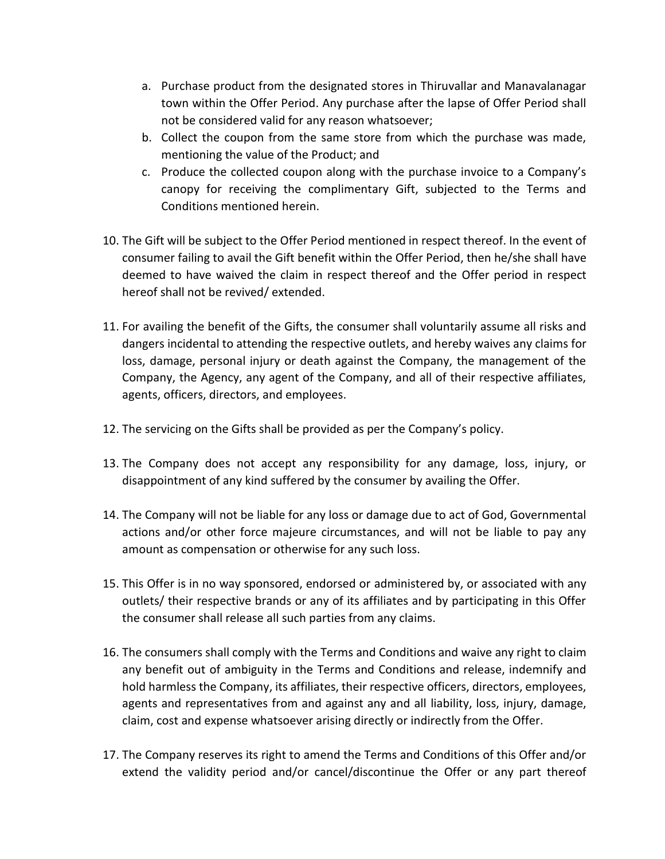- a. Purchase product from the designated stores in Thiruvallar and Manavalanagar town within the Offer Period. Any purchase after the lapse of Offer Period shall not be considered valid for any reason whatsoever;
- b. Collect the coupon from the same store from which the purchase was made, mentioning the value of the Product; and
- c. Produce the collected coupon along with the purchase invoice to a Company's canopy for receiving the complimentary Gift, subjected to the Terms and Conditions mentioned herein.
- 10. The Gift will be subject to the Offer Period mentioned in respect thereof. In the event of consumer failing to avail the Gift benefit within the Offer Period, then he/she shall have deemed to have waived the claim in respect thereof and the Offer period in respect hereof shall not be revived/ extended.
- 11. For availing the benefit of the Gifts, the consumer shall voluntarily assume all risks and dangers incidental to attending the respective outlets, and hereby waives any claims for loss, damage, personal injury or death against the Company, the management of the Company, the Agency, any agent of the Company, and all of their respective affiliates, agents, officers, directors, and employees.
- 12. The servicing on the Gifts shall be provided as per the Company's policy.
- 13. The Company does not accept any responsibility for any damage, loss, injury, or disappointment of any kind suffered by the consumer by availing the Offer.
- 14. The Company will not be liable for any loss or damage due to act of God, Governmental actions and/or other force majeure circumstances, and will not be liable to pay any amount as compensation or otherwise for any such loss.
- 15. This Offer is in no way sponsored, endorsed or administered by, or associated with any outlets/ their respective brands or any of its affiliates and by participating in this Offer the consumer shall release all such parties from any claims.
- 16. The consumers shall comply with the Terms and Conditions and waive any right to claim any benefit out of ambiguity in the Terms and Conditions and release, indemnify and hold harmless the Company, its affiliates, their respective officers, directors, employees, agents and representatives from and against any and all liability, loss, injury, damage, claim, cost and expense whatsoever arising directly or indirectly from the Offer.
- 17. The Company reserves its right to amend the Terms and Conditions of this Offer and/or extend the validity period and/or cancel/discontinue the Offer or any part thereof